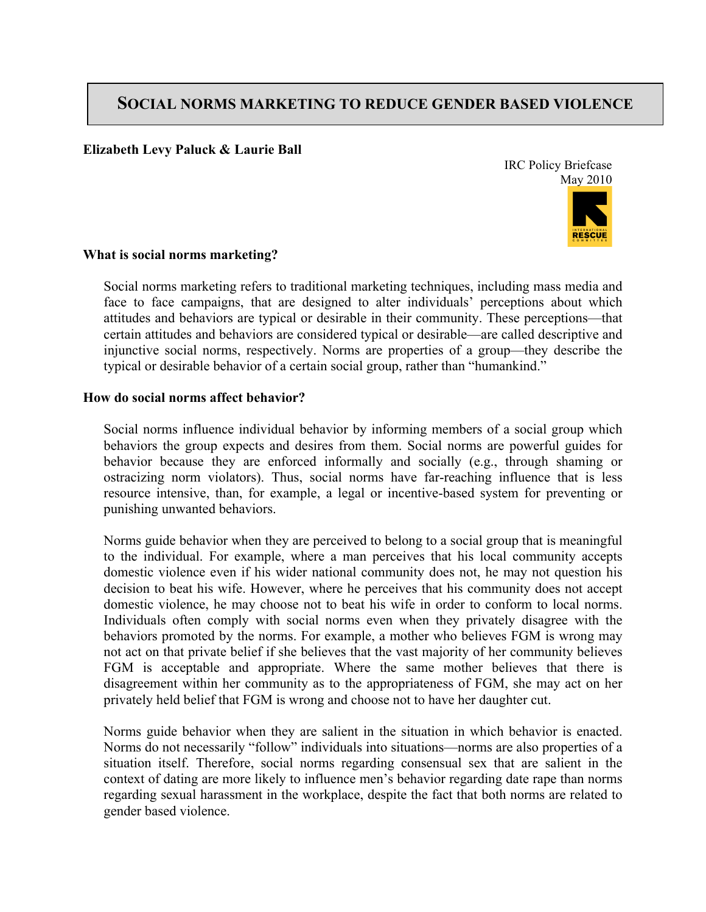# **SOCIAL NORMS MARKETING TO REDUCE GENDER BASED VIOLENCE**

## **Elizabeth Levy Paluck & Laurie Ball**

IRC Policy Briefcase May 2010



## **What is social norms marketing?**

Social norms marketing refers to traditional marketing techniques, including mass media and face to face campaigns, that are designed to alter individuals' perceptions about which attitudes and behaviors are typical or desirable in their community. These perceptions—that certain attitudes and behaviors are considered typical or desirable—are called descriptive and injunctive social norms, respectively. Norms are properties of a group—they describe the typical or desirable behavior of a certain social group, rather than "humankind."

## **How do social norms affect behavior?**

Social norms influence individual behavior by informing members of a social group which behaviors the group expects and desires from them. Social norms are powerful guides for behavior because they are enforced informally and socially (e.g., through shaming or ostracizing norm violators). Thus, social norms have far-reaching influence that is less resource intensive, than, for example, a legal or incentive-based system for preventing or punishing unwanted behaviors.

Norms guide behavior when they are perceived to belong to a social group that is meaningful to the individual. For example, where a man perceives that his local community accepts domestic violence even if his wider national community does not, he may not question his decision to beat his wife. However, where he perceives that his community does not accept domestic violence, he may choose not to beat his wife in order to conform to local norms. Individuals often comply with social norms even when they privately disagree with the behaviors promoted by the norms. For example, a mother who believes FGM is wrong may not act on that private belief if she believes that the vast majority of her community believes FGM is acceptable and appropriate. Where the same mother believes that there is disagreement within her community as to the appropriateness of FGM, she may act on her privately held belief that FGM is wrong and choose not to have her daughter cut.

Norms guide behavior when they are salient in the situation in which behavior is enacted. Norms do not necessarily "follow" individuals into situations—norms are also properties of a situation itself. Therefore, social norms regarding consensual sex that are salient in the context of dating are more likely to influence men's behavior regarding date rape than norms regarding sexual harassment in the workplace, despite the fact that both norms are related to gender based violence.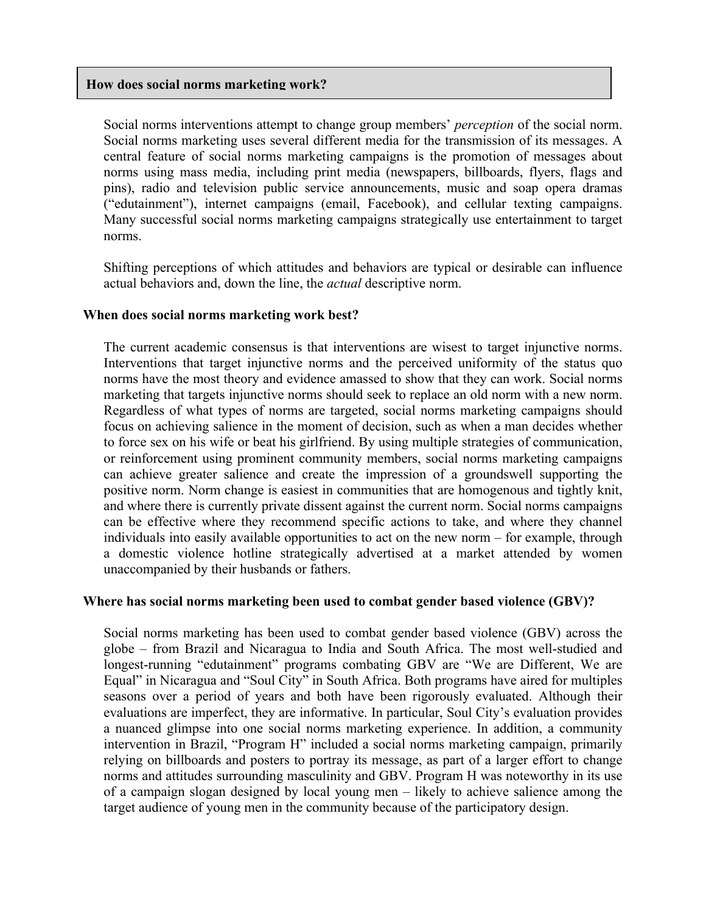## **How does social norms marketing work?**

Social norms interventions attempt to change group members' *perception* of the social norm. Social norms marketing uses several different media for the transmission of its messages. A central feature of social norms marketing campaigns is the promotion of messages about norms using mass media, including print media (newspapers, billboards, flyers, flags and pins), radio and television public service announcements, music and soap opera dramas ("edutainment"), internet campaigns (email, Facebook), and cellular texting campaigns. Many successful social norms marketing campaigns strategically use entertainment to target norms.

Shifting perceptions of which attitudes and behaviors are typical or desirable can influence actual behaviors and, down the line, the *actual* descriptive norm.

## **When does social norms marketing work best?**

The current academic consensus is that interventions are wisest to target injunctive norms. Interventions that target injunctive norms and the perceived uniformity of the status quo norms have the most theory and evidence amassed to show that they can work. Social norms marketing that targets injunctive norms should seek to replace an old norm with a new norm. Regardless of what types of norms are targeted, social norms marketing campaigns should focus on achieving salience in the moment of decision, such as when a man decides whether to force sex on his wife or beat his girlfriend. By using multiple strategies of communication, or reinforcement using prominent community members, social norms marketing campaigns can achieve greater salience and create the impression of a groundswell supporting the positive norm. Norm change is easiest in communities that are homogenous and tightly knit, and where there is currently private dissent against the current norm. Social norms campaigns can be effective where they recommend specific actions to take, and where they channel individuals into easily available opportunities to act on the new norm – for example, through a domestic violence hotline strategically advertised at a market attended by women unaccompanied by their husbands or fathers.

#### **Where has social norms marketing been used to combat gender based violence (GBV)?**

Social norms marketing has been used to combat gender based violence (GBV) across the globe – from Brazil and Nicaragua to India and South Africa. The most well-studied and longest-running "edutainment" programs combating GBV are "We are Different, We are Equal" in Nicaragua and "Soul City" in South Africa. Both programs have aired for multiples seasons over a period of years and both have been rigorously evaluated. Although their evaluations are imperfect, they are informative. In particular, Soul City's evaluation provides a nuanced glimpse into one social norms marketing experience. In addition, a community intervention in Brazil, "Program H" included a social norms marketing campaign, primarily relying on billboards and posters to portray its message, as part of a larger effort to change norms and attitudes surrounding masculinity and GBV. Program H was noteworthy in its use of a campaign slogan designed by local young men – likely to achieve salience among the target audience of young men in the community because of the participatory design.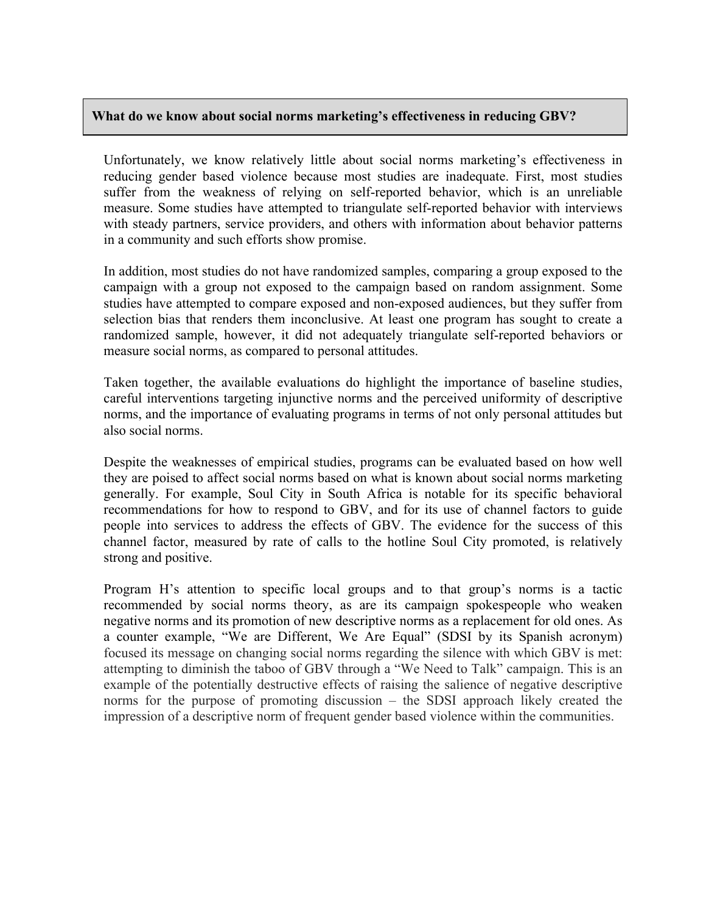# **What do we know about social norms marketing's effectiveness in reducing GBV?**

Unfortunately, we know relatively little about social norms marketing's effectiveness in reducing gender based violence because most studies are inadequate. First, most studies suffer from the weakness of relying on self-reported behavior, which is an unreliable measure. Some studies have attempted to triangulate self-reported behavior with interviews with steady partners, service providers, and others with information about behavior patterns in a community and such efforts show promise.

In addition, most studies do not have randomized samples, comparing a group exposed to the campaign with a group not exposed to the campaign based on random assignment. Some studies have attempted to compare exposed and non-exposed audiences, but they suffer from selection bias that renders them inconclusive. At least one program has sought to create a randomized sample, however, it did not adequately triangulate self-reported behaviors or measure social norms, as compared to personal attitudes.

Taken together, the available evaluations do highlight the importance of baseline studies, careful interventions targeting injunctive norms and the perceived uniformity of descriptive norms, and the importance of evaluating programs in terms of not only personal attitudes but also social norms.

Despite the weaknesses of empirical studies, programs can be evaluated based on how well they are poised to affect social norms based on what is known about social norms marketing generally. For example, Soul City in South Africa is notable for its specific behavioral recommendations for how to respond to GBV, and for its use of channel factors to guide people into services to address the effects of GBV. The evidence for the success of this channel factor, measured by rate of calls to the hotline Soul City promoted, is relatively strong and positive.

Program H's attention to specific local groups and to that group's norms is a tactic recommended by social norms theory, as are its campaign spokespeople who weaken negative norms and its promotion of new descriptive norms as a replacement for old ones. As a counter example, "We are Different, We Are Equal" (SDSI by its Spanish acronym) focused its message on changing social norms regarding the silence with which GBV is met: attempting to diminish the taboo of GBV through a "We Need to Talk" campaign. This is an example of the potentially destructive effects of raising the salience of negative descriptive norms for the purpose of promoting discussion – the SDSI approach likely created the impression of a descriptive norm of frequent gender based violence within the communities.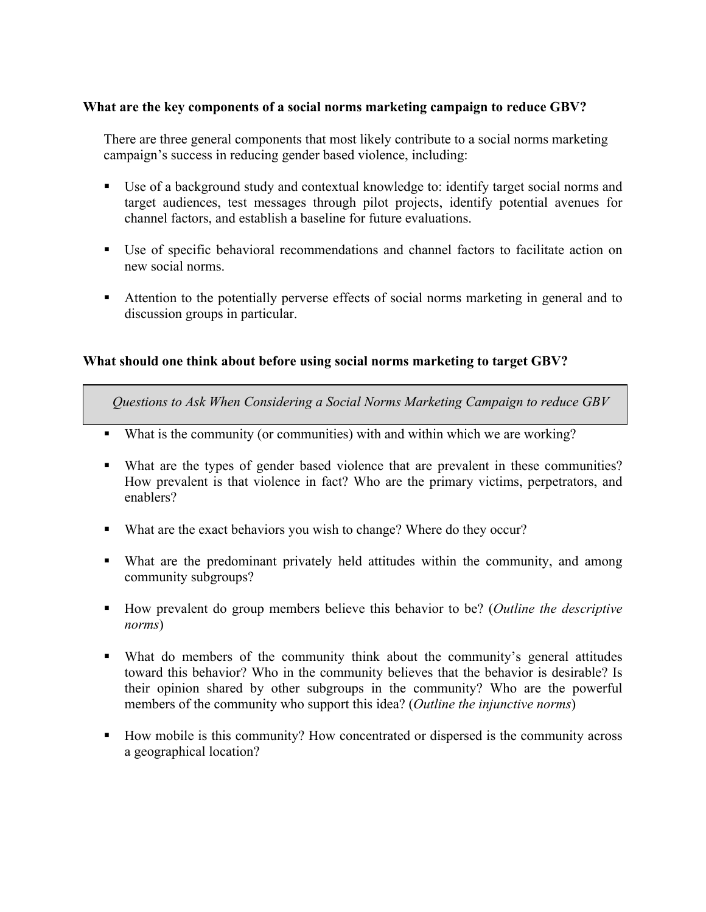# **What are the key components of a social norms marketing campaign to reduce GBV?**

There are three general components that most likely contribute to a social norms marketing campaign's success in reducing gender based violence, including:

- Use of a background study and contextual knowledge to: identify target social norms and target audiences, test messages through pilot projects, identify potential avenues for channel factors, and establish a baseline for future evaluations.
- Use of specific behavioral recommendations and channel factors to facilitate action on new social norms.
- Attention to the potentially perverse effects of social norms marketing in general and to discussion groups in particular.

# **What should one think about before using social norms marketing to target GBV?**

*Questions to Ask When Considering a Social Norms Marketing Campaign to reduce GBV*

- What is the community (or communities) with and within which we are working?
- What are the types of gender based violence that are prevalent in these communities? How prevalent is that violence in fact? Who are the primary victims, perpetrators, and enablers?
- What are the exact behaviors you wish to change? Where do they occur?
- What are the predominant privately held attitudes within the community, and among community subgroups?
- How prevalent do group members believe this behavior to be? (*Outline the descriptive norms*)
- What do members of the community think about the community's general attitudes toward this behavior? Who in the community believes that the behavior is desirable? Is their opinion shared by other subgroups in the community? Who are the powerful members of the community who support this idea? (*Outline the injunctive norms*)
- How mobile is this community? How concentrated or dispersed is the community across a geographical location?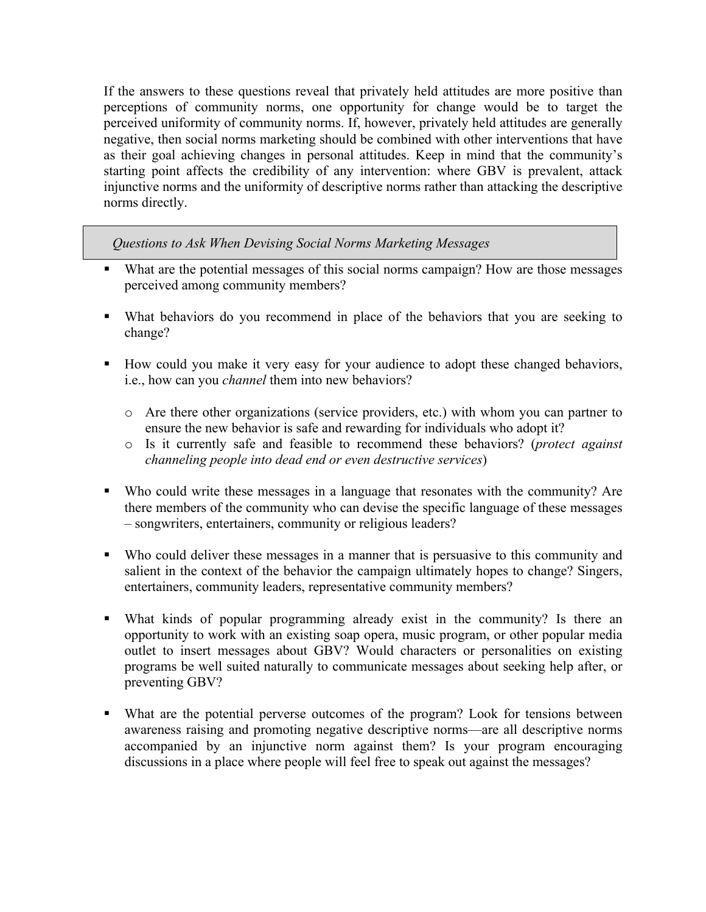If the answers to these questions reveal that privately held attitudes are more positive than perceptions of community norms, one opportunity for change would be to target the perceived uniformity of community norms. If, however, privately held attitudes are generally negative, then social norms marketing should be combined with other interventions that have as their goal achieving changes in personal attitudes. Keep in mind that the community's starting point affects the credibility of any intervention: where GBV is prevalent, attack injunctive norms and the uniformity of descriptive norms rather than attacking the descriptive norms directly.

*Questions to Ask When Devising Social Norms Marketing Messages*

- What are the potential messages of this social norms campaign? How are those messages perceived among community members?
- What behaviors do you recommend in place of the behaviors that you are seeking to change?
- How could you make it very easy for your audience to adopt these changed behaviors, i.e., how can you *channel* them into new behaviors?
	- o Are there other organizations (service providers, etc.) with whom you can partner to ensure the new behavior is safe and rewarding for individuals who adopt it?
	- o Is it currently safe and feasible to recommend these behaviors? (*protect against channeling people into dead end or even destructive services*)
- Who could write these messages in a language that resonates with the community? Are there members of the community who can devise the specific language of these messages – songwriters, entertainers, community or religious leaders?
- Who could deliver these messages in a manner that is persuasive to this community and salient in the context of the behavior the campaign ultimately hopes to change? Singers, entertainers, community leaders, representative community members?
- What kinds of popular programming already exist in the community? Is there an opportunity to work with an existing soap opera, music program, or other popular media outlet to insert messages about GBV? Would characters or personalities on existing programs be well suited naturally to communicate messages about seeking help after, or preventing GBV?
- What are the potential perverse outcomes of the program? Look for tensions between awareness raising and promoting negative descriptive norms—are all descriptive norms accompanied by an injunctive norm against them? Is your program encouraging discussions in a place where people will feel free to speak out against the messages?